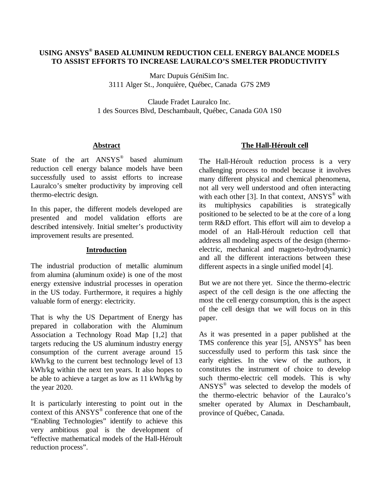# **USING ANSYS® BASED ALUMINUM REDUCTION CELL ENERGY BALANCE MODELS TO ASSIST EFFORTS TO INCREASE LAURALCO'S SMELTER PRODUCTIVITY**

Marc Dupuis GéniSim Inc. 3111 Alger St., Jonquière, Québec, Canada G7S 2M9

Claude Fradet Lauralco Inc. 1 des Sources Blvd, Deschambault, Québec, Canada G0A 1S0

### **Abstract**

State of the art ANSYS<sup>®</sup> based aluminum reduction cell energy balance models have been successfully used to assist efforts to increase Lauralco's smelter productivity by improving cell thermo-electric design.

In this paper, the different models developed are presented and model validation efforts are described intensively. Initial smelter's productivity improvement results are presented.

# **Introduction**

The industrial production of metallic aluminum from alumina (aluminum oxide) is one of the most energy extensive industrial processes in operation in the US today. Furthermore, it requires a highly valuable form of energy: electricity.

That is why the US Department of Energy has prepared in collaboration with the Aluminum Association a Technology Road Map [1,2] that targets reducing the US aluminum industry energy consumption of the current average around 15 kWh/kg to the current best technology level of 13 kWh/kg within the next ten years. It also hopes to be able to achieve a target as low as 11 kWh/kg by the year 2020.

It is particularly interesting to point out in the context of this ANSYS® conference that one of the "Enabling Technologies" identify to achieve this very ambitious goal is the development of "effective mathematical models of the Hall-Héroult reduction process".

# **The Hall-Héroult cell**

The Hall-Héroult reduction process is a very challenging process to model because it involves many different physical and chemical phenomena, not all very well understood and often interacting with each other [3]. In that context,  $ANSYS^{\circledast}$  with its multiphysics capabilities is strategically positioned to be selected to be at the core of a long term R&D effort. This effort will aim to develop a model of an Hall-Héroult reduction cell that address all modeling aspects of the design (thermoelectric, mechanical and magneto-hydrodynamic) and all the different interactions between these different aspects in a single unified model [4].

But we are not there yet. Since the thermo-electric aspect of the cell design is the one affecting the most the cell energy consumption, this is the aspect of the cell design that we will focus on in this paper.

As it was presented in a paper published at the TMS conference this year [5], ANSYS<sup>®</sup> has been successfully used to perform this task since the early eighties. In the view of the authors, it constitutes the instrument of choice to develop such thermo-electric cell models. This is why ANSYS® was selected to develop the models of the thermo-electric behavior of the Lauralco's smelter operated by Alumax in Deschambault, province of Québec, Canada.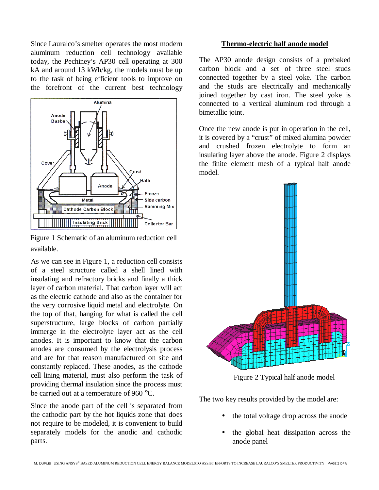Since Lauralco's smelter operates the most modern aluminum reduction cell technology available today, the Pechiney's AP30 cell operating at 300 kA and around 13 kWh/kg, the models must be up to the task of being efficient tools to improve on the forefront of the current best technology



available. Figure 1 Schematic of an aluminum reduction cell

As we can see in Figure 1, a reduction cell consists of a steel structure called a shell lined with insulating and refractory bricks and finally a thick layer of carbon material. That carbon layer will act as the electric cathode and also as the container for the very corrosive liquid metal and electrolyte. On the top of that, hanging for what is called the cell superstructure, large blocks of carbon partially immerge in the electrolyte layer act as the cell anodes. It is important to know that the carbon anodes are consumed by the electrolysis process and are for that reason manufactured on site and constantly replaced. These anodes, as the cathode cell lining material, must also perform the task of providing thermal insulation since the process must be carried out at a temperature of 960 °C.

Since the anode part of the cell is separated from the cathodic part by the hot liquids zone that does not require to be modeled, it is convenient to build separately models for the anodic and cathodic parts.

### **Thermo-electric half anode model**

The AP30 anode design consists of a prebaked carbon block and a set of three steel studs connected together by a steel yoke. The carbon and the studs are electrically and mechanically joined together by cast iron. The steel yoke is connected to a vertical aluminum rod through a bimetallic joint.

Once the new anode is put in operation in the cell, it is covered by a "crust" of mixed alumina powder and crushed frozen electrolyte to form an insulating layer above the anode. Figure 2 displays the finite element mesh of a typical half anode model.



Figure 2 Typical half anode model

The two key results provided by the model are:

- the total voltage drop across the anode
- the global heat dissipation across the anode panel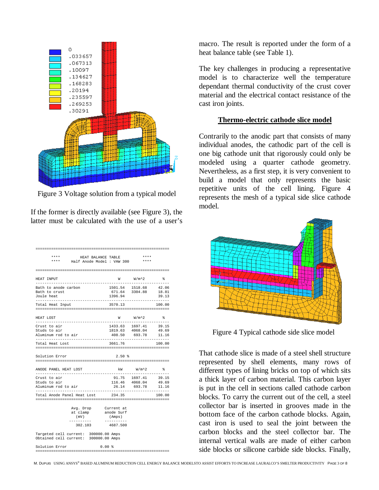

Figure 3 Voltage solution from a typical model

If the former is directly available (see Figure 3), the latter must be calculated with the use of a user's

| ****<br>****                                                                   | HEAT BALANCE TABLE<br>Half Anode Model : VAW 300 |                      | ****<br>$* * * *$                                                 |                |
|--------------------------------------------------------------------------------|--------------------------------------------------|----------------------|-------------------------------------------------------------------|----------------|
|                                                                                |                                                  |                      |                                                                   |                |
| HEAT INPUT                                                                     |                                                  |                      | W W/m^2 %                                                         |                |
| Bath to anode carbon<br>Bath to crust<br>Joule heat                            |                                                  | 1396.94              | 1501.54 1518.68 42.06<br>671.64 3304.88                           | 18.81<br>39.13 |
| Total Heat Input                                                               |                                                  | 3570.13              |                                                                   | 100.00         |
| HEAT LOST<br>-----------                                                       |                                                  |                      | W W/m.^2 %                                                        |                |
| Crust to air<br>Studs to air<br>Aluminum rod to air                            |                                                  |                      | 1433.63 1697.41 39.15<br>1819.63 4068.04<br>408.50 693.78 11.16   | 49.69          |
| Total Heat Lost                                                                |                                                  | 3661.76              |                                                                   | 100.00         |
| Solution Error                                                                 |                                                  | $2.50*$              |                                                                   |                |
| ANODE PANEL HEAT LOST<br>-----------------------------                         |                                                  |                      | kW W/m <sup>2</sup> 2 %                                           |                |
| Crust to air<br>Studs to air<br>Aluminum rod to air                            |                                                  |                      | 91.75 1697.41 39.15<br>116.46 4068.04 49.69<br>26.14 693.78 11.16 | .              |
| Total Anode Panel Heat Lost 234.35                                             |                                                  |                      |                                                                   | 100.00         |
| (mV)<br>-----------                                                            | Avg. Drop Current at<br>at clamp anode Surf      | (Amps)<br>---------- |                                                                   |                |
| 302.103                                                                        |                                                  | 4687.500             |                                                                   |                |
| Targeted cell current: 300000.00 Amps<br>Obtained cell current: 300000.00 Amps |                                                  |                      |                                                                   |                |
| Solution Error                                                                 | 0.00%                                            |                      |                                                                   |                |

macro. The result is reported under the form of a heat balance table (see Table 1).

The key challenges in producing a representative model is to characterize well the temperature dependant thermal conductivity of the crust cover material and the electrical contact resistance of the cast iron joints.

#### **Thermo-electric cathode slice model**

Contrarily to the anodic part that consists of many individual anodes, the cathodic part of the cell is one big cathode unit that rigorously could only be modeled using a quarter cathode geometry. Nevertheless, as a first step, it is very convenient to build a model that only represents the basic repetitive units of the cell lining. Figure 4 represents the mesh of a typical side slice cathode model.



Figure 4 Typical cathode side slice model

That cathode slice is made of a steel shell structure represented by shell elements, many rows of different types of lining bricks on top of which sits a thick layer of carbon material. This carbon layer is put in the cell in sections called cathode carbon blocks. To carry the current out of the cell, a steel collector bar is inserted in grooves made in the bottom face of the carbon cathode blocks. Again, cast iron is used to seal the joint between the carbon blocks and the steel collector bar. The internal vertical walls are made of either carbon side blocks or silicone carbide side blocks. Finally,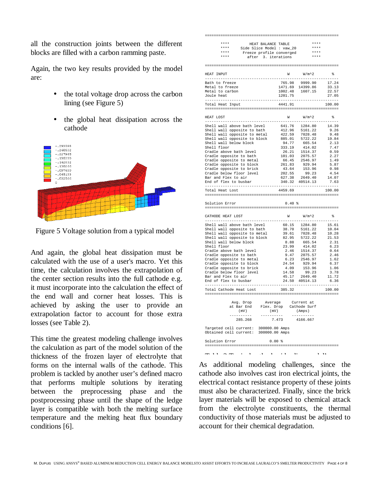all the construction joints between the different blocks are filled with a carbon ramming paste.

Again, the two key results provided by the model are:

- the total voltage drop across the carbon lining (see Figure 5)
- the global heat dissipation across the cathode



Figure 5 Voltage solution from a typical model

And again, the global heat dissipation must be calculated with the use of a user's macro. Yet this time, the calculation involves the extrapolation of the center section results into the full cathode e.g. it must incorporate into the calculation the effect of the end wall and corner heat losses. This is achieved by asking the user to provide an extrapolation factor to account for those extra losses (see Table 2).

This time the greatest modeling challenge involves the calculation as part of the model solution of the thickness of the frozen layer of electrolyte that forms on the internal walls of the cathode. This problem is tackled by another user's defined macro that performs multiple solutions by iterating between the preprocessing phase and the postprocessing phase until the shape of the ledge layer is compatible with both the melting surface temperature and the melting heat flux boundary conditions [6].

| ****<br>HEAT BALANCE TABLE                                                                                                                                                                                                                                                                                                                                                                                                                                                                                          |         | $***$                                                                                                                                                                                                                                                                        |                       |
|---------------------------------------------------------------------------------------------------------------------------------------------------------------------------------------------------------------------------------------------------------------------------------------------------------------------------------------------------------------------------------------------------------------------------------------------------------------------------------------------------------------------|---------|------------------------------------------------------------------------------------------------------------------------------------------------------------------------------------------------------------------------------------------------------------------------------|-----------------------|
| ***** HEAT BALANCE TABLE<br>**** Side Slice Model : vaw_20<br>**** Freeze profile converged<br>**** after 3 iterations                                                                                                                                                                                                                                                                                                                                                                                              |         | $***$                                                                                                                                                                                                                                                                        |                       |
|                                                                                                                                                                                                                                                                                                                                                                                                                                                                                                                     |         | $***$ * * *                                                                                                                                                                                                                                                                  |                       |
| $***$<br>after 3. iterations                                                                                                                                                                                                                                                                                                                                                                                                                                                                                        |         | $***$                                                                                                                                                                                                                                                                        |                       |
|                                                                                                                                                                                                                                                                                                                                                                                                                                                                                                                     |         |                                                                                                                                                                                                                                                                              |                       |
| HEAT INPUT                                                                                                                                                                                                                                                                                                                                                                                                                                                                                                          |         | $W$ $W/m^2$                                                                                                                                                                                                                                                                  | $\frac{9}{6}$         |
| Bath to freeze                                                                                                                                                                                                                                                                                                                                                                                                                                                                                                      |         | 765.98 9999.90 17.24<br>1471.69 14399.86 33.13<br>1002.48 1607.15 22.57<br>1001.75 27.06                                                                                                                                                                                     |                       |
| Metal to freeze                                                                                                                                                                                                                                                                                                                                                                                                                                                                                                     |         |                                                                                                                                                                                                                                                                              |                       |
| Metal to carbon                                                                                                                                                                                                                                                                                                                                                                                                                                                                                                     |         |                                                                                                                                                                                                                                                                              |                       |
| Joule heat                                                                                                                                                                                                                                                                                                                                                                                                                                                                                                          | 1201.75 |                                                                                                                                                                                                                                                                              | 27.05                 |
| Total Heat Input                                                                                                                                                                                                                                                                                                                                                                                                                                                                                                    |         |                                                                                                                                                                                                                                                                              | 100.00                |
|                                                                                                                                                                                                                                                                                                                                                                                                                                                                                                                     |         |                                                                                                                                                                                                                                                                              |                       |
| HEAT LOST                                                                                                                                                                                                                                                                                                                                                                                                                                                                                                           |         | $W$ $W/m^2$                                                                                                                                                                                                                                                                  | $\approx$<br>.        |
|                                                                                                                                                                                                                                                                                                                                                                                                                                                                                                                     |         |                                                                                                                                                                                                                                                                              |                       |
|                                                                                                                                                                                                                                                                                                                                                                                                                                                                                                                     |         |                                                                                                                                                                                                                                                                              |                       |
|                                                                                                                                                                                                                                                                                                                                                                                                                                                                                                                     |         |                                                                                                                                                                                                                                                                              |                       |
|                                                                                                                                                                                                                                                                                                                                                                                                                                                                                                                     |         |                                                                                                                                                                                                                                                                              |                       |
|                                                                                                                                                                                                                                                                                                                                                                                                                                                                                                                     |         |                                                                                                                                                                                                                                                                              |                       |
| Shell floor                                                                                                                                                                                                                                                                                                                                                                                                                                                                                                         |         |                                                                                                                                                                                                                                                                              | 7.47                  |
| Cradle above bath level                                                                                                                                                                                                                                                                                                                                                                                                                                                                                             |         |                                                                                                                                                                                                                                                                              | 0.59                  |
|                                                                                                                                                                                                                                                                                                                                                                                                                                                                                                                     |         |                                                                                                                                                                                                                                                                              | 2.27                  |
| Cradle opposite to bath<br>Cradle opposite to metal<br>Cradle opposite to metal<br>Cradle opposite to brick<br>Cradle below floor level<br>Cradle below floor level                                                                                                                                                                                                                                                                                                                                                 |         |                                                                                                                                                                                                                                                                              | 1.49<br>5.87          |
|                                                                                                                                                                                                                                                                                                                                                                                                                                                                                                                     |         |                                                                                                                                                                                                                                                                              |                       |
|                                                                                                                                                                                                                                                                                                                                                                                                                                                                                                                     |         |                                                                                                                                                                                                                                                                              | $0.98$<br>$4.54$      |
| Bar and Flex to air                                                                                                                                                                                                                                                                                                                                                                                                                                                                                                 |         |                                                                                                                                                                                                                                                                              | 14.07                 |
| End of flex to busbar                                                                                                                                                                                                                                                                                                                                                                                                                                                                                               |         | $\begin{array}{cccc} 94.77 & 665.54 \\ 33.19 & 414.02 \\ 26.21 & 1514.37 \\ 101.03 & 2075.57 \\ 66.45 & 2546.97 \\ 261.83 & 929.94 \\ 43.64 & 153.96 \\ 202.55 & 2649.40 \\ 302.738 & 2649.40 \\ -1 & -1 & -1 & -1 \\ -1 & -1 & -1 & -1 \\ -1 & -1 & -1 & -1 \\ \end{array}$ | 7.63                  |
|                                                                                                                                                                                                                                                                                                                                                                                                                                                                                                                     |         |                                                                                                                                                                                                                                                                              |                       |
| Total Heat Lost                                                                                                                                                                                                                                                                                                                                                                                                                                                                                                     | 4459.69 |                                                                                                                                                                                                                                                                              | 100.00                |
|                                                                                                                                                                                                                                                                                                                                                                                                                                                                                                                     |         |                                                                                                                                                                                                                                                                              |                       |
|                                                                                                                                                                                                                                                                                                                                                                                                                                                                                                                     |         |                                                                                                                                                                                                                                                                              |                       |
| Solution Error                                                                                                                                                                                                                                                                                                                                                                                                                                                                                                      | 0.40%   |                                                                                                                                                                                                                                                                              |                       |
|                                                                                                                                                                                                                                                                                                                                                                                                                                                                                                                     |         |                                                                                                                                                                                                                                                                              |                       |
| CATHODE HEAT LOST                                                                                                                                                                                                                                                                                                                                                                                                                                                                                                   |         | $W$ $W/m^2$                                                                                                                                                                                                                                                                  | ಿ<br>.                |
|                                                                                                                                                                                                                                                                                                                                                                                                                                                                                                                     |         |                                                                                                                                                                                                                                                                              |                       |
|                                                                                                                                                                                                                                                                                                                                                                                                                                                                                                                     |         |                                                                                                                                                                                                                                                                              |                       |
|                                                                                                                                                                                                                                                                                                                                                                                                                                                                                                                     |         |                                                                                                                                                                                                                                                                              |                       |
|                                                                                                                                                                                                                                                                                                                                                                                                                                                                                                                     |         |                                                                                                                                                                                                                                                                              |                       |
|                                                                                                                                                                                                                                                                                                                                                                                                                                                                                                                     |         |                                                                                                                                                                                                                                                                              |                       |
|                                                                                                                                                                                                                                                                                                                                                                                                                                                                                                                     |         |                                                                                                                                                                                                                                                                              |                       |
|                                                                                                                                                                                                                                                                                                                                                                                                                                                                                                                     |         |                                                                                                                                                                                                                                                                              |                       |
|                                                                                                                                                                                                                                                                                                                                                                                                                                                                                                                     |         |                                                                                                                                                                                                                                                                              |                       |
|                                                                                                                                                                                                                                                                                                                                                                                                                                                                                                                     |         |                                                                                                                                                                                                                                                                              |                       |
|                                                                                                                                                                                                                                                                                                                                                                                                                                                                                                                     |         |                                                                                                                                                                                                                                                                              |                       |
|                                                                                                                                                                                                                                                                                                                                                                                                                                                                                                                     |         |                                                                                                                                                                                                                                                                              |                       |
|                                                                                                                                                                                                                                                                                                                                                                                                                                                                                                                     |         |                                                                                                                                                                                                                                                                              |                       |
|                                                                                                                                                                                                                                                                                                                                                                                                                                                                                                                     |         |                                                                                                                                                                                                                                                                              |                       |
| $\begin{tabular}{l c c c c c} \hline \multicolumn{4}{c}{\textbf{Shell}} & \textbf{all above bath level} & 60.15 & 1284.80 & 15.61 \\ \hline \multicolumn{4}{c}{\textbf{Shell wall above bath level}} & 60.15 & 1284.80 & 15.61 \\ \hline \multicolumn{4}{c}{\textbf{Shell wall opposite to metal}} & 39.61 & 7028.48 & 10.28 \\ \hline \multicolumn{4}{c}{\textbf{Shell wall opposite to black}} & 82.95 & 5722.2 & 21.53 \\ \hline \multicolumn{4}{c$<br>-----------------------<br>Total Cathode Heat Lost 385.32 | .       |                                                                                                                                                                                                                                                                              | $- - - - -$<br>100.00 |
|                                                                                                                                                                                                                                                                                                                                                                                                                                                                                                                     |         |                                                                                                                                                                                                                                                                              |                       |
|                                                                                                                                                                                                                                                                                                                                                                                                                                                                                                                     |         |                                                                                                                                                                                                                                                                              |                       |
|                                                                                                                                                                                                                                                                                                                                                                                                                                                                                                                     |         |                                                                                                                                                                                                                                                                              |                       |
|                                                                                                                                                                                                                                                                                                                                                                                                                                                                                                                     |         |                                                                                                                                                                                                                                                                              |                       |
| Avg. Drop Average Current at<br>at Bar End Flex. Drop Cathode Surf (mV) (Amps)<br>---------- ----------- 285.268 7.473 4166.667                                                                                                                                                                                                                                                                                                                                                                                     |         |                                                                                                                                                                                                                                                                              |                       |
| Targeted cell current: 300000.00 Amps                                                                                                                                                                                                                                                                                                                                                                                                                                                                               |         |                                                                                                                                                                                                                                                                              |                       |
| Obtained cell current: 300000.00 Amps                                                                                                                                                                                                                                                                                                                                                                                                                                                                               |         |                                                                                                                                                                                                                                                                              |                       |
|                                                                                                                                                                                                                                                                                                                                                                                                                                                                                                                     |         |                                                                                                                                                                                                                                                                              |                       |
| 0.00%<br>Solution Error                                                                                                                                                                                                                                                                                                                                                                                                                                                                                             |         |                                                                                                                                                                                                                                                                              |                       |

As additional modeling challenges, since the cathode also involves cast iron electrical joints, the electrical contact resistance property of these joints must also be characterized. Finally, since the brick layer materials will be exposed to chemical attack from the electrolyte constituents, the thermal conductivity of those materials must be adjusted to account for their chemical degradation.

Table 2 Typical cathode side slice model's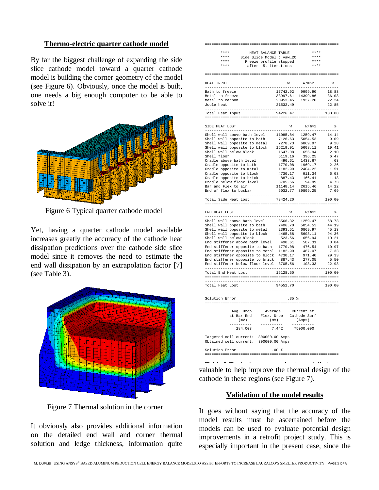#### **Thermo-electric quarter cathode model**

By far the biggest challenge of expanding the side slice cathode model toward a quarter cathode model is building the corner geometry of the model (see Figure 6). Obviously, once the model is built, one needs a big enough computer to be able to solve it!



Figure 6 Typical quarter cathode model

Yet, having a quarter cathode model available increases greatly the accuracy of the cathode heat dissipation predictions over the cathode side slice model since it removes the need to estimate the end wall dissipation by an extrapolation factor [7] (see Table 3).



Figure 7 Thermal solution in the corner

It obviously also provides additional information on the detailed end wall and corner thermal solution and ledge thickness, information quite

| ----------------------------                                                                                                                                                                                                                                     | ===============================                                               |                                                                                                 |             |
|------------------------------------------------------------------------------------------------------------------------------------------------------------------------------------------------------------------------------------------------------------------|-------------------------------------------------------------------------------|-------------------------------------------------------------------------------------------------|-------------|
| ****<br>HEAT BALANCE TABLE                                                                                                                                                                                                                                       |                                                                               | $***$                                                                                           |             |
| A Side Slice Model : vaw_20<br>**** Side Slice Model : vaw_20<br>**** Potter 5 iterations                                                                                                                                                                        |                                                                               | $***$                                                                                           |             |
|                                                                                                                                                                                                                                                                  |                                                                               | $***$ * *                                                                                       |             |
| after 5. iterations                                                                                                                                                                                                                                              |                                                                               |                                                                                                 |             |
|                                                                                                                                                                                                                                                                  |                                                                               |                                                                                                 |             |
| HEAT INPUT<br>$- - - - -$                                                                                                                                                                                                                                        |                                                                               | $\text{W}\qquad \qquad \text{W/m}^{\textstyle{\wedge}}\text{2}\qquad \qquad \text{\$\$\$}$<br>. | .           |
| Bath to freeze                                                                                                                                                                                                                                                   | $17742.92$ 9999.90 18.83<br>33997.61 14399.86 36.08<br>20953.45 1937.20 22.24 |                                                                                                 |             |
| Metal to freeze                                                                                                                                                                                                                                                  |                                                                               |                                                                                                 |             |
| Metal to carbon                                                                                                                                                                                                                                                  |                                                                               |                                                                                                 |             |
| Joule heat                                                                                                                                                                                                                                                       | 21532.49                                                                      |                                                                                                 | 22.85       |
| Total Heat Input                                                                                                                                                                                                                                                 |                                                                               |                                                                                                 |             |
|                                                                                                                                                                                                                                                                  |                                                                               |                                                                                                 |             |
| SIDE HEAT LOST<br>9108 MBAT LOST<br>19208 MBAT LOST 10085.04 1259.47<br>5hell wall above bath level<br>11085.84 1259.47 14.14<br>5hell wall opposite to hath<br>1276.63 5054.53 9.09<br>5hell wall opposite to metal<br>1278.73 6869.97 9.28<br>Shell wall oppos |                                                                               | $W$ $W/m^2$                                                                                     | ୍ଥ≽         |
|                                                                                                                                                                                                                                                                  |                                                                               |                                                                                                 |             |
|                                                                                                                                                                                                                                                                  |                                                                               |                                                                                                 |             |
|                                                                                                                                                                                                                                                                  |                                                                               |                                                                                                 |             |
|                                                                                                                                                                                                                                                                  |                                                                               |                                                                                                 |             |
|                                                                                                                                                                                                                                                                  |                                                                               |                                                                                                 |             |
|                                                                                                                                                                                                                                                                  |                                                                               |                                                                                                 | .63         |
| Cradle above bath level<br>Cradle opposite to bath                                                                                                                                                                                                               |                                                                               |                                                                                                 | 2.26        |
| Cradle opposite to metal                                                                                                                                                                                                                                         |                                                                               |                                                                                                 | 1.51        |
|                                                                                                                                                                                                                                                                  |                                                                               |                                                                                                 | 6.03        |
|                                                                                                                                                                                                                                                                  |                                                                               |                                                                                                 | 1.13        |
| Cradle opposite to Metal<br>Cradle opposite to block<br>Cradle below floor level                                                                                                                                                                                 |                                                                               |                                                                                                 | 4.73        |
| Bar and Flex to air<br>Bar and Flex to air<br>End of flex to busbar                                                                                                                                                                                              |                                                                               |                                                                                                 | 14.22       |
|                                                                                                                                                                                                                                                                  |                                                                               |                                                                                                 | 7.69        |
| Total Side Heat Lost                                                                                                                                                                                                                                             | 78424.20                                                                      |                                                                                                 | 100.00      |
|                                                                                                                                                                                                                                                                  |                                                                               | $W$ $W/m^2$                                                                                     |             |
| END HEAT LOST                                                                                                                                                                                                                                                    |                                                                               |                                                                                                 | ಿ           |
|                                                                                                                                                                                                                                                                  |                                                                               |                                                                                                 |             |
|                                                                                                                                                                                                                                                                  |                                                                               |                                                                                                 |             |
|                                                                                                                                                                                                                                                                  |                                                                               |                                                                                                 |             |
|                                                                                                                                                                                                                                                                  |                                                                               |                                                                                                 |             |
|                                                                                                                                                                                                                                                                  |                                                                               |                                                                                                 |             |
|                                                                                                                                                                                                                                                                  |                                                                               |                                                                                                 |             |
|                                                                                                                                                                                                                                                                  |                                                                               |                                                                                                 |             |
|                                                                                                                                                                                                                                                                  |                                                                               |                                                                                                 |             |
|                                                                                                                                                                                                                                                                  |                                                                               |                                                                                                 |             |
|                                                                                                                                                                                                                                                                  |                                                                               |                                                                                                 |             |
| Total End Heat Lost                                                                                                                                                                                                                                              | 16128.50                                                                      |                                                                                                 | .<br>100.00 |
|                                                                                                                                                                                                                                                                  | .                                                                             |                                                                                                 | -------     |
| Total Heat Lost                                                                                                                                                                                                                                                  | 94552.70                                                                      |                                                                                                 | 100.00      |
| Solution Error                                                                                                                                                                                                                                                   | .35%                                                                          |                                                                                                 |             |
|                                                                                                                                                                                                                                                                  |                                                                               |                                                                                                 |             |
|                                                                                                                                                                                                                                                                  |                                                                               |                                                                                                 |             |
|                                                                                                                                                                                                                                                                  |                                                                               |                                                                                                 |             |
| Targeted cell current: 300000.00 Amps<br>Obtained cell current: 300000.00 Amps                                                                                                                                                                                   |                                                                               |                                                                                                 |             |
| Solution Error                                                                                                                                                                                                                                                   | .00%                                                                          |                                                                                                 |             |
|                                                                                                                                                                                                                                                                  |                                                                               |                                                                                                 |             |

valuable to help improve the thermal design of the cathode in these regions (see Figure 7).

#### **Validation of the model results**

It goes without saying that the accuracy of the model results must be ascertained before the models can be used to evaluate potential design improvements in a retrofit project study. This is especially important in the present case, since the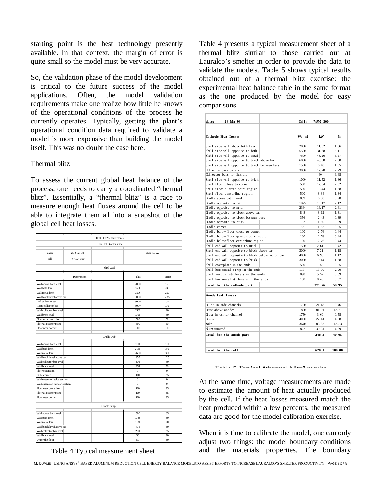starting point is the best technology presently available. In that context, the margin of error is quite small so the model must be very accurate.

So, the validation phase of the model development is critical to the future success of the model applications. Often, the model validation requirements make one realize how little he knows of the operational conditions of the process he currently operates. Typically, getting the plant's operational condition data required to validate a model is more expensive than building the model itself. This was no doubt the case here.

#### Thermal blitz

To assess the current global heat balance of the process, one needs to carry a coordinated "thermal blitz". Essentially, a "thermal blitz" is a race to measure enough heat fluxes around the cell to be able to integrate them all into a snapshot of the global cell heat losses.

|                               |             | <b>Heat Flux Measurements</b> |              |              |
|-------------------------------|-------------|-------------------------------|--------------|--------------|
|                               |             | for Cell Heat Balance         |              |              |
| date:                         | 28-Mar-98   |                               |              | slice no: A2 |
| cell:                         | "VAW" 300   |                               |              |              |
|                               |             | Shell Wall                    |              |              |
|                               | Description |                               | Flux         | Temp         |
| Wall above bath level         |             |                               | 2000         | 150          |
| Wall bath level               |             |                               | 5500         | 230          |
| Wall metal level              |             |                               | 7500         | 250          |
| Wall block level above bar    |             |                               | 6000         | 235          |
| Left collector bar            |             |                               | 3000         | 190          |
| Right collector bar           |             |                               | 3000         | 190          |
| Wall collector bar level      |             |                               | 1500         | 90           |
| Wall brick level              |             |                               | 1000         | 60           |
| Floor near centerline         |             |                               | 500          | 50           |
| Floor at quarter point        |             |                               | 500          | 50           |
| Floor near corner             |             |                               | 500          | 50           |
|                               |             | Cradle web                    |              |              |
| Wall above bath level         |             |                               | 1000         | 100          |
| Wall bath level               |             |                               | 2165         | 130          |
| Wall metal level              |             |                               | 2660         | 140          |
| Wall block level above bar    |             |                               | 955          | 125          |
| Wall collector bar level      |             |                               | 400          | 60           |
| Wall brick level              |             |                               | 155          | 50           |
| Floor extension               |             |                               | $\mathbf{0}$ | $\mathbf{0}$ |
| In the corner                 |             |                               | 100          | 35           |
| Wall extension wide section   |             |                               | $\mathbf{0}$ | $\mathbf{0}$ |
| Wall extension narrow section |             |                               | $\mathbf{0}$ | $\mathbf{0}$ |
| Floor near centerline         |             |                               | 100          | 35           |
| Floor at quarter point        |             |                               | 100          | 35           |
| Floor near corner             |             |                               | 100          | 35           |
|                               |             | Cradle flange                 |              |              |
| Wall above bath level         |             |                               | 500          | 65           |
| Wall bath level               |             |                               | 1085         | 80           |
| Wall metal level              |             |                               | <b>B30</b>   | 90           |
| Wall block level above bar    |             |                               | 475          | 40           |
| Wall collector bar level      |             |                               | 200          | 35           |
| Wall brick level              |             |                               | 50           | 30           |
| Under the floor               |             |                               | 50           | 30           |

Table 4 Typical measurement sheet

Table 4 presents a typical measurement sheet of a thermal blitz similar to those carried out at Lauralco's smelter in order to provide the data to validate the models. Table 5 shows typical results obtained out of a thermal blitz exercise: the experimental heat balance table in the same format as the one produced by the model for easy comparisons.

| date:                                             | 28-Mr-98                             |      |       | GH <sub>1</sub> :   | "VAW 300       |               |
|---------------------------------------------------|--------------------------------------|------|-------|---------------------|----------------|---------------|
|                                                   |                                      |      |       |                     |                |               |
|                                                   |                                      |      |       |                     |                |               |
|                                                   | <b>Cathode Heat Losses</b>           |      |       | $W/$ n <sup>2</sup> | kW             | $\frac{0}{2}$ |
|                                                   | Shell side wall above bath level     |      |       | 2000                | 11.52          | 1.86          |
|                                                   | Shell side wall opposite to bath     |      |       | 5500                | 31.68          | 5.11          |
| Shell side wall opposite to netal                 |                                      | 7500 | 43.20 | 6.97                |                |               |
| Shell side wall opposite to block above bar       |                                      | 6000 | 48.38 | 7.80                |                |               |
| Shell side wall opposite to block between bars    |                                      | 1500 | 6.48  | 1.05                |                |               |
|                                                   | Collector bars to air                |      |       | 3000                | 17.28          | 2.79          |
|                                                   | Collector bars to flexible           |      |       |                     | 60             | 9.68          |
|                                                   | Shell side wall opposite to brick    |      |       | 1000                | 11.52          | 1.86          |
|                                                   | Shell floor close to corner          |      |       | 500                 | 12.54          | 2.02          |
|                                                   | Shell floor quarter point region     |      |       | 500                 | 10.44          | 1.68          |
|                                                   | Shell floor centerline region        |      |       | 500                 | 8.34           | 1.34          |
|                                                   | Gadle above bath level               |      |       | 889                 | 6.08           | 0.98          |
|                                                   | Gadle opposite to bath               |      |       | 1925                | 13.17          | 2.12          |
|                                                   | Gadle opposite to netal              |      |       | 2364                | 16.17          | 2.61          |
|                                                   | Gadle opposite to block above bar    |      |       | 848                 | 8.12           | 1.31          |
|                                                   | Gadle opposite to block between bars |      |       | 356                 | 2.43           | 0.39          |
|                                                   | Gadle opposite to brick              |      |       | 132                 | 1.80           | 0.29          |
| Gadle corner                                      |                                      |      |       | 52                  | 1.52           | 0.25          |
| Gadle below floor close to corner                 |                                      |      | 100   | 2.76                | 0.44           |               |
| Gadle below floor quarter point region            |                                      | 100  | 2.76  | 0.44                |                |               |
| Gadle belowfloor centerline region                |                                      | 100  | 2.76  | 0.44                |                |               |
| Shell end wall opposite to netal                  |                                      | 1500 | 2.61  | 0.42                |                |               |
| Shell end wall opposite to block above bar        |                                      | 3000 | 7.31  | 1.18                |                |               |
| Shell end wall opposite to block below top of bar |                                      | 4000 | 6.96  | 1.12                |                |               |
| Shell end wall opposite to brick                  |                                      | 3000 | 10.44 | 1.68                |                |               |
| Shell coverplate in the ends                      |                                      | 500  | 1.52  | 0.25                |                |               |
| Shell horizontal strip in the ends                |                                      | 1184 | 18.00 | 2.90                |                |               |
| Shell vertical stiffeners in the ends             |                                      | 898  | 5.52  | 0.89                |                |               |
| Shell horizontal stiffeners in the ends           |                                      | 100  | 0.45  | 0.07                |                |               |
|                                                   | Total for the cathode part           |      |       |                     | 371.76         | 59.95         |
|                                                   |                                      |      |       |                     |                |               |
| <b>Anode Heat Losses</b>                          |                                      |      |       |                     |                |               |
|                                                   |                                      |      |       |                     |                |               |
|                                                   | Gust in side channels                |      |       | 1700                | 21.48          | 3.46          |
| Gust above anodes                                 | Gust in center channel               |      |       | 1800<br>1750        | 81.91<br>3.60  | 13.21<br>0.58 |
| St uds                                            |                                      |      |       | 4000                | 27.14          | 4.38          |
| Yoke                                              |                                      |      |       |                     |                |               |
| Al umi num rod                                    |                                      |      |       | 3640<br>822         | 83.87<br>30.31 | 13.53<br>4.89 |
|                                                   |                                      |      |       |                     |                |               |
|                                                   | Total for the anode part             |      |       |                     | 248.3          | 40.05         |
|                                                   |                                      |      |       |                     |                |               |
|                                                   |                                      |      |       |                     |                |               |
|                                                   | Total for the cell                   |      |       |                     | 620.1          | 100.00        |

Table 5 Typical "thermal blitz" results

At the same time, voltage measurements are made to estimate the amount of heat actually produced by the cell. If the heat losses measured match the heat produced within a few percents, the measured data are good for the model calibration exercise.

When it is time to calibrate the model, one can only adjust two things: the model boundary conditions and the materials properties. The boundary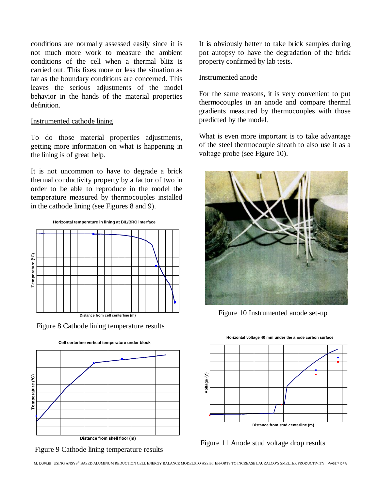conditions are normally assessed easily since it is not much more work to measure the ambient conditions of the cell when a thermal blitz is carried out. This fixes more or less the situation as far as the boundary conditions are concerned. This leaves the serious adjustments of the model behavior in the hands of the material properties definition.

### Instrumented cathode lining

To do those material properties adjustments, getting more information on what is happening in the lining is of great help.

It is not uncommon to have to degrade a brick thermal conductivity property by a factor of two in order to be able to reproduce in the model the temperature measured by thermocouples installed in the cathode lining (see Figures 8 and 9).





Figure 8 Cathode lining temperature results







It is obviously better to take brick samples during pot autopsy to have the degradation of the brick property confirmed by lab tests.

### Instrumented anode

For the same reasons, it is very convenient to put thermocouples in an anode and compare thermal gradients measured by thermocouples with those predicted by the model.

What is even more important is to take advantage of the steel thermocouple sheath to also use it as a voltage probe (see Figure 10).



Figure 10 Instrumented anode set-up



Figure 11 Anode stud voltage drop results